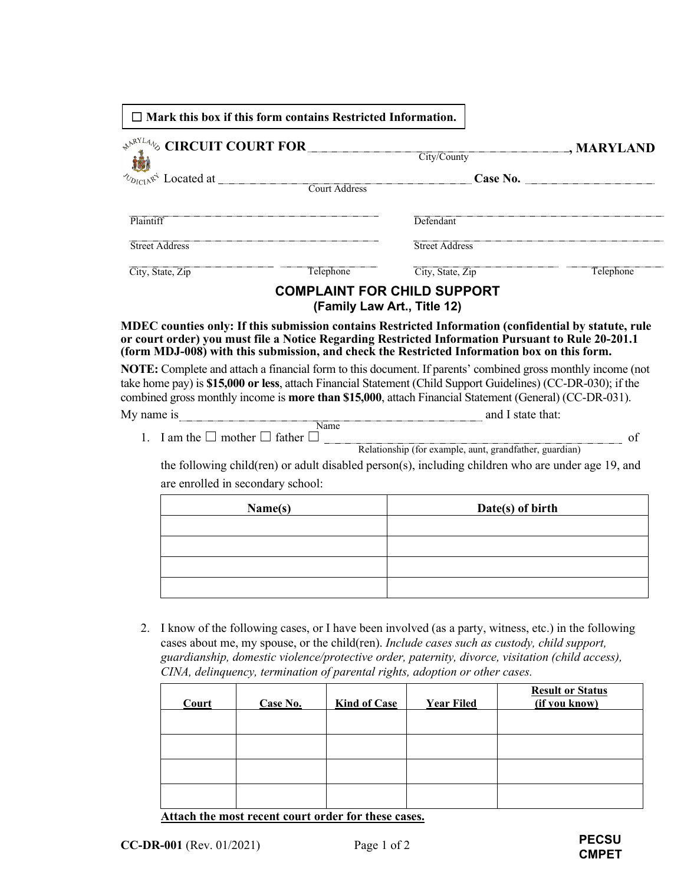|                                                      | $\Box$ Mark this box if this form contains Restricted Information.                                                                                                                                                                                                                                                                                                                                                                                                                         |                                                                                                                                                                                                                                                                                                                                                |           |  |
|------------------------------------------------------|--------------------------------------------------------------------------------------------------------------------------------------------------------------------------------------------------------------------------------------------------------------------------------------------------------------------------------------------------------------------------------------------------------------------------------------------------------------------------------------------|------------------------------------------------------------------------------------------------------------------------------------------------------------------------------------------------------------------------------------------------------------------------------------------------------------------------------------------------|-----------|--|
| <b>*</b> <sup><i>NRYLAN</i></sup> CIRCUIT COURT FOR_ |                                                                                                                                                                                                                                                                                                                                                                                                                                                                                            | $\Box$ , MARYLAND<br>$\overline{\text{City}/\text{Country}}$                                                                                                                                                                                                                                                                                   |           |  |
|                                                      | $\delta_{D_{\text{IC1A}}\mathcal{R}}^{\mathcal{A}}$ Located at $\qquad$ Court Address                                                                                                                                                                                                                                                                                                                                                                                                      |                                                                                                                                                                                                                                                                                                                                                | Case No.  |  |
| Plaintiff                                            |                                                                                                                                                                                                                                                                                                                                                                                                                                                                                            | Defendant                                                                                                                                                                                                                                                                                                                                      |           |  |
| <b>Street Address</b>                                |                                                                                                                                                                                                                                                                                                                                                                                                                                                                                            | Street Address                                                                                                                                                                                                                                                                                                                                 |           |  |
| City, State, Zip                                     | Telephone                                                                                                                                                                                                                                                                                                                                                                                                                                                                                  | City, State, Zip                                                                                                                                                                                                                                                                                                                               | Telephone |  |
|                                                      |                                                                                                                                                                                                                                                                                                                                                                                                                                                                                            | <b>COMPLAINT FOR CHILD SUPPORT</b><br>(Family Law Art., Title 12)                                                                                                                                                                                                                                                                              |           |  |
|                                                      |                                                                                                                                                                                                                                                                                                                                                                                                                                                                                            | MDEC counties only: If this submission contains Restricted Information (confidential by statute, rule<br>or court order) you must file a Notice Regarding Restricted Information Pursuant to Rule 20-201.1<br>(form MDJ-008) with this submission, and check the Restricted Information box on this form.                                      |           |  |
|                                                      |                                                                                                                                                                                                                                                                                                                                                                                                                                                                                            | NOTE: Complete and attach a financial form to this document. If parents' combined gross monthly income (not<br>take home pay) is \$15,000 or less, attach Financial Statement (Child Support Guidelines) (CC-DR-030); if the<br>combined gross monthly income is <b>more than \$15,000</b> , attach Financial Statement (General) (CC-DR-031). |           |  |
| My name is                                           | $\blacksquare$ $\blacksquare$ $\blacksquare$ $\blacksquare$ $\blacksquare$ $\blacksquare$ $\blacksquare$ $\blacksquare$ $\blacksquare$ $\blacksquare$ $\blacksquare$ $\blacksquare$ $\blacksquare$ $\blacksquare$ $\blacksquare$ $\blacksquare$ $\blacksquare$ $\blacksquare$ $\blacksquare$ $\blacksquare$ $\blacksquare$ $\blacksquare$ $\blacksquare$ $\blacksquare$ $\blacksquare$ $\blacksquare$ $\blacksquare$ $\blacksquare$ $\blacksquare$ $\blacksquare$ $\blacksquare$ $\blacks$ | and I state that:                                                                                                                                                                                                                                                                                                                              |           |  |
|                                                      | 1. I am the $\square$ mother $\square$ father $\square$                                                                                                                                                                                                                                                                                                                                                                                                                                    | Relationship (for example, aunt, grandfather, guardian)                                                                                                                                                                                                                                                                                        | of        |  |
|                                                      |                                                                                                                                                                                                                                                                                                                                                                                                                                                                                            | the following child(ren) or adult disabled person(s), including children who are under age 19, and                                                                                                                                                                                                                                             |           |  |
| are enrolled in secondary school:                    |                                                                                                                                                                                                                                                                                                                                                                                                                                                                                            |                                                                                                                                                                                                                                                                                                                                                |           |  |

| Name(s) | Date(s) of birth |  |  |
|---------|------------------|--|--|
|         |                  |  |  |
|         |                  |  |  |
|         |                  |  |  |
|         |                  |  |  |

2. I know of the following cases, or I have been involved (as a party, witness, etc.) in the following cases about me, my spouse, or the child(ren). *Include cases such as custody, child support, guardianship, domestic violence/protective order, paternity, divorce, visitation (child access), CINA, delinquency, termination of parental rights, adoption or other cases.*

| Court | Case No. | <b>Kind of Case</b> | <b>Year Filed</b> | <b>Result or Status</b><br>(if you know) |
|-------|----------|---------------------|-------------------|------------------------------------------|
|       |          |                     |                   |                                          |
|       |          |                     |                   |                                          |
|       |          |                     |                   |                                          |
|       |          |                     |                   |                                          |

## **Attach the most recent court order for these cases.**